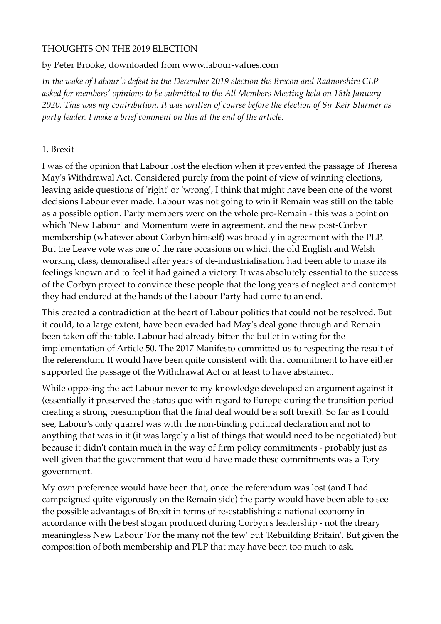## THOUGHTS ON THE 2019 ELECTION

### by Peter Brooke, downloaded from www.labour-values.com

*In the wake of Labour's defeat in the December 2019 election the Brecon and Radnorshire CLP asked for members' opinions to be submitted to the All Members Meeting held on 18th January 2020. This was my contribution. It was written of course before the election of Sir Keir Starmer as party leader. I make a brief comment on this at the end of the article.*

## 1. Brexit

I was of the opinion that Labour lost the election when it prevented the passage of Theresa May's Withdrawal Act. Considered purely from the point of view of winning elections, leaving aside questions of 'right' or 'wrong', I think that might have been one of the worst decisions Labour ever made. Labour was not going to win if Remain was still on the table as a possible option. Party members were on the whole pro-Remain - this was a point on which 'New Labour' and Momentum were in agreement, and the new post-Corbyn membership (whatever about Corbyn himself) was broadly in agreement with the PLP. But the Leave vote was one of the rare occasions on which the old English and Welsh working class, demoralised after years of de-industrialisation, had been able to make its feelings known and to feel it had gained a victory. It was absolutely essential to the success of the Corbyn project to convince these people that the long years of neglect and contempt they had endured at the hands of the Labour Party had come to an end.

This created a contradiction at the heart of Labour politics that could not be resolved. But it could, to a large extent, have been evaded had May's deal gone through and Remain been taken off the table. Labour had already bitten the bullet in voting for the implementation of Article 50. The 2017 Manifesto committed us to respecting the result of the referendum. It would have been quite consistent with that commitment to have either supported the passage of the Withdrawal Act or at least to have abstained.

While opposing the act Labour never to my knowledge developed an argument against it (essentially it preserved the status quo with regard to Europe during the transition period creating a strong presumption that the final deal would be a soft brexit). So far as I could see, Labour's only quarrel was with the non-binding political declaration and not to anything that was in it (it was largely a list of things that would need to be negotiated) but because it didn't contain much in the way of firm policy commitments - probably just as well given that the government that would have made these commitments was a Tory government.

My own preference would have been that, once the referendum was lost (and I had campaigned quite vigorously on the Remain side) the party would have been able to see the possible advantages of Brexit in terms of re-establishing a national economy in accordance with the best slogan produced during Corbyn's leadership - not the dreary meaningless New Labour 'For the many not the few' but 'Rebuilding Britain'. But given the composition of both membership and PLP that may have been too much to ask.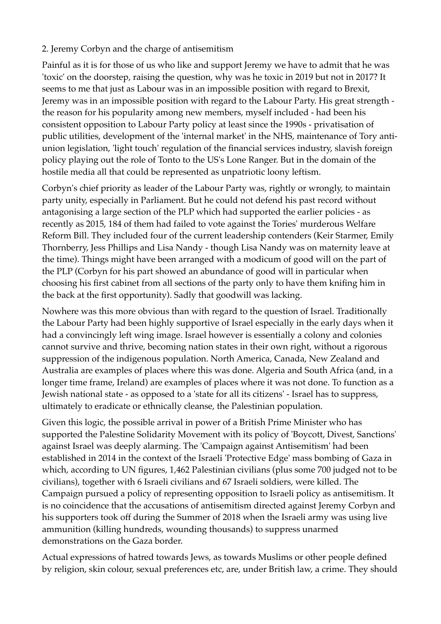# 2. Jeremy Corbyn and the charge of antisemitism

Painful as it is for those of us who like and support Jeremy we have to admit that he was 'toxic' on the doorstep, raising the question, why was he toxic in 2019 but not in 2017? It seems to me that just as Labour was in an impossible position with regard to Brexit, Jeremy was in an impossible position with regard to the Labour Party. His great strength the reason for his popularity among new members, myself included - had been his consistent opposition to Labour Party policy at least since the 1990s - privatisation of public utilities, development of the 'internal market' in the NHS, maintenance of Tory antiunion legislation, 'light touch' regulation of the financial services industry, slavish foreign policy playing out the role of Tonto to the US's Lone Ranger. But in the domain of the hostile media all that could be represented as unpatriotic loony leftism.

Corbyn's chief priority as leader of the Labour Party was, rightly or wrongly, to maintain party unity, especially in Parliament. But he could not defend his past record without antagonising a large section of the PLP which had supported the earlier policies - as recently as 2015, 184 of them had failed to vote against the Tories' murderous Welfare Reform Bill. They included four of the current leadership contenders (Keir Starmer, Emily Thornberry, Jess Phillips and Lisa Nandy - though Lisa Nandy was on maternity leave at the time). Things might have been arranged with a modicum of good will on the part of the PLP (Corbyn for his part showed an abundance of good will in particular when choosing his first cabinet from all sections of the party only to have them knifing him in the back at the first opportunity). Sadly that goodwill was lacking.

Nowhere was this more obvious than with regard to the question of Israel. Traditionally the Labour Party had been highly supportive of Israel especially in the early days when it had a convincingly left wing image. Israel however is essentially a colony and colonies cannot survive and thrive, becoming nation states in their own right, without a rigorous suppression of the indigenous population. North America, Canada, New Zealand and Australia are examples of places where this was done. Algeria and South Africa (and, in a longer time frame, Ireland) are examples of places where it was not done. To function as a Jewish national state - as opposed to a 'state for all its citizens' - Israel has to suppress, ultimately to eradicate or ethnically cleanse, the Palestinian population.

Given this logic, the possible arrival in power of a British Prime Minister who has supported the Palestine Solidarity Movement with its policy of 'Boycott, Divest, Sanctions' against Israel was deeply alarming. The 'Campaign against Antisemitism' had been established in 2014 in the context of the Israeli 'Protective Edge' mass bombing of Gaza in which, according to UN figures, 1,462 Palestinian civilians (plus some 700 judged not to be civilians), together with 6 Israeli civilians and 67 Israeli soldiers, were killed. The Campaign pursued a policy of representing opposition to Israeli policy as antisemitism. It is no coincidence that the accusations of antisemitism directed against Jeremy Corbyn and his supporters took off during the Summer of 2018 when the Israeli army was using live ammunition (killing hundreds, wounding thousands) to suppress unarmed demonstrations on the Gaza border.

Actual expressions of hatred towards Jews, as towards Muslims or other people defined by religion, skin colour, sexual preferences etc, are, under British law, a crime. They should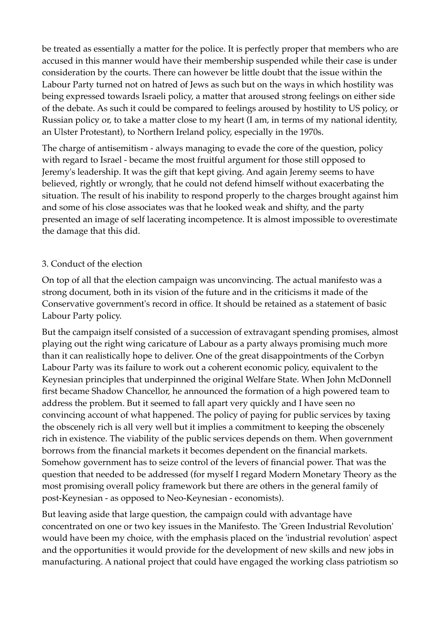be treated as essentially a matter for the police. It is perfectly proper that members who are accused in this manner would have their membership suspended while their case is under consideration by the courts. There can however be little doubt that the issue within the Labour Party turned not on hatred of Jews as such but on the ways in which hostility was being expressed towards Israeli policy, a matter that aroused strong feelings on either side of the debate. As such it could be compared to feelings aroused by hostility to US policy, or Russian policy or, to take a matter close to my heart (I am, in terms of my national identity, an Ulster Protestant), to Northern Ireland policy, especially in the 1970s.

The charge of antisemitism - always managing to evade the core of the question, policy with regard to Israel - became the most fruitful argument for those still opposed to Jeremy's leadership. It was the gift that kept giving. And again Jeremy seems to have believed, rightly or wrongly, that he could not defend himself without exacerbating the situation. The result of his inability to respond properly to the charges brought against him and some of his close associates was that he looked weak and shifty, and the party presented an image of self lacerating incompetence. It is almost impossible to overestimate the damage that this did.

## 3. Conduct of the election

On top of all that the election campaign was unconvincing. The actual manifesto was a strong document, both in its vision of the future and in the criticisms it made of the Conservative government's record in office. It should be retained as a statement of basic Labour Party policy.

But the campaign itself consisted of a succession of extravagant spending promises, almost playing out the right wing caricature of Labour as a party always promising much more than it can realistically hope to deliver. One of the great disappointments of the Corbyn Labour Party was its failure to work out a coherent economic policy, equivalent to the Keynesian principles that underpinned the original Welfare State. When John McDonnell first became Shadow Chancellor, he announced the formation of a high powered team to address the problem. But it seemed to fall apart very quickly and I have seen no convincing account of what happened. The policy of paying for public services by taxing the obscenely rich is all very well but it implies a commitment to keeping the obscenely rich in existence. The viability of the public services depends on them. When government borrows from the financial markets it becomes dependent on the financial markets. Somehow government has to seize control of the levers of financial power. That was the question that needed to be addressed (for myself I regard Modern Monetary Theory as the most promising overall policy framework but there are others in the general family of post-Keynesian - as opposed to Neo-Keynesian - economists).

But leaving aside that large question, the campaign could with advantage have concentrated on one or two key issues in the Manifesto. The 'Green Industrial Revolution' would have been my choice, with the emphasis placed on the 'industrial revolution' aspect and the opportunities it would provide for the development of new skills and new jobs in manufacturing. A national project that could have engaged the working class patriotism so